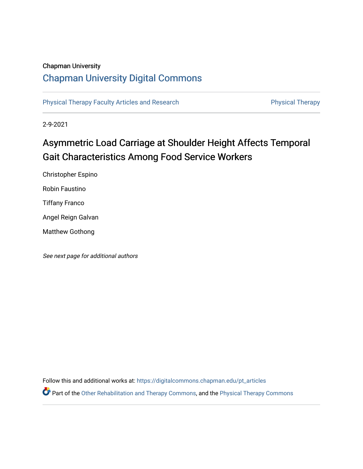## Chapman University

# [Chapman University Digital Commons](https://digitalcommons.chapman.edu/)

[Physical Therapy Faculty Articles and Research](https://digitalcommons.chapman.edu/pt_articles) **Physical Therapy** Physical Therapy

2-9-2021

# Asymmetric Load Carriage at Shoulder Height Affects Temporal Gait Characteristics Among Food Service Workers

Christopher Espino Robin Faustino Tiffany Franco Angel Reign Galvan Matthew Gothong

See next page for additional authors

Follow this and additional works at: [https://digitalcommons.chapman.edu/pt\\_articles](https://digitalcommons.chapman.edu/pt_articles?utm_source=digitalcommons.chapman.edu%2Fpt_articles%2F145&utm_medium=PDF&utm_campaign=PDFCoverPages) 

Part of the [Other Rehabilitation and Therapy Commons,](http://network.bepress.com/hgg/discipline/758?utm_source=digitalcommons.chapman.edu%2Fpt_articles%2F145&utm_medium=PDF&utm_campaign=PDFCoverPages) and the [Physical Therapy Commons](http://network.bepress.com/hgg/discipline/754?utm_source=digitalcommons.chapman.edu%2Fpt_articles%2F145&utm_medium=PDF&utm_campaign=PDFCoverPages)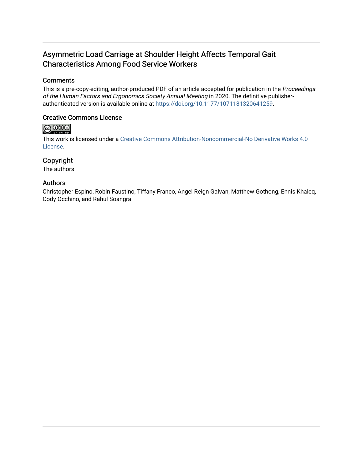# Asymmetric Load Carriage at Shoulder Height Affects Temporal Gait Characteristics Among Food Service Workers

### **Comments**

This is a pre-copy-editing, author-produced PDF of an article accepted for publication in the Proceedings of the Human Factors and Ergonomics Society Annual Meeting in 2020. The definitive publisherauthenticated version is available online at <https://doi.org/10.1177/1071181320641259>.

### Creative Commons License

# **@000**

This work is licensed under a [Creative Commons Attribution-Noncommercial-No Derivative Works 4.0](https://creativecommons.org/licenses/by-nc-nd/4.0/) [License](https://creativecommons.org/licenses/by-nc-nd/4.0/).

### Copyright

The authors

### Authors

Christopher Espino, Robin Faustino, Tiffany Franco, Angel Reign Galvan, Matthew Gothong, Ennis Khaleq, Cody Occhino, and Rahul Soangra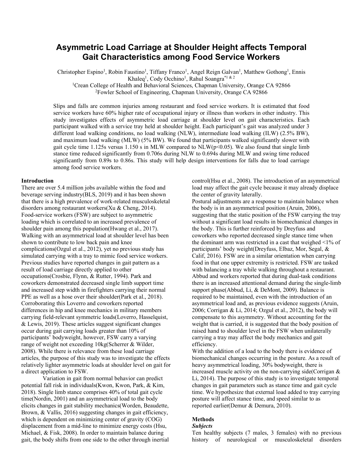## **Asymmetric Load Carriage at Shoulder Height affects Temporal Gait Characteristics among Food Service Workers**

Christopher Espino<sup>1</sup>, Robin Faustino<sup>1</sup>, Tiffany Franco<sup>1</sup>, Angel Reign Galvan<sup>1</sup>, Matthew Gothong<sup>1</sup>, Ennis Khaleq<sup>1</sup>, Cody Occhino<sup>1</sup>, Rahul Soangra<sup>\*1 & 2</sup>

<sup>1</sup>Crean College of Health and Behavioral Sciences, Chapman University, Orange CA 92866

<sup>2</sup>Fowler School of Engineering, Chapman University, Orange CA 92866

Slips and falls are common injuries among restaurant and food service workers. It is estimated that food service workers have 60% higher rate of occupational injury or illness than workers in other industry. This study investigates effects of asymmetric load carriage at shoulder level on gait characteristics. Each participant walked with a service tray held at shoulder height. Each participant's gait was analyzed under 3 different load walking conditions, no load walking (NLW), intermediate load walking (ILW) (2.5% BW), and maximum load walking (MLW) (5% BW). We found that participants walked significantly slower with gait cycle time 1.125s versus 1.150 s in MLW compared to  $NLW(p<0.05)$ . We also found that single limb stance time reduced significantly from 0.706s during NLW to 0.694s during MLW and swing time reduced significantly from 0.89s to 0.86s. This study will help design interventions for falls due to load carriage among food service workers.

#### **Introduction**

There are over 5.4 million jobs available within the food and beverage serving industry[\(BLS, 2019\)](#page-5-0) and it has been shown that there is a high prevalence of work-related musculoskeletal disorders among restaurant workers[\(Xu & Cheng, 2014\)](#page-5-1). Food-service workers (FSW) are subject to asymmetric loading which is correlated to an increased prevalence of shoulder pain among this population[\(Hwang et al., 2017\)](#page-5-2). Walking with an asymmetrical load at shoulder level has been shown to contribute to low back pain and knee complications[\(Ozgul et al., 2012\)](#page-5-3), yet no previous study has simulated carrying with a tray to mimic food service workers. Previous studies have reported changes in gait pattern as a result of load carriage directly applied to other occupations[\(Crosbie, Flynn, & Rutter, 1994\)](#page-5-4). Park and coworkers demonstrated decreased single limb support time and increased step width in firefighters carrying their normal PPE as well as a hose over their shoulder[\(Park et al., 2018\)](#page-5-5). Corroborating this Loverro and coworkers reported differences in hip and knee mechanics in military members carrying field-relevant symmetric loads[\(Loverro, Hasselquist,](#page-5-6)  [& Lewis, 2019\)](#page-5-6). These articles suggest significant changes occur during gait carrying loads greater than 10% of participants' bodyweight, however, FSW carry a varying range of weight not exceeding 10kg[\(Scherrer & Wilder,](#page-5-7)  [2008\)](#page-5-7). While there is relevance from these load carriage articles, the purpose of this study was to investigate the effects relatively lighter asymmetric loads at shoulder level on gait for a direct application to FSW.

Variation in gait from normal behavior can predict potential fall risk in individuals[\(Kwon, Kwon, Park, & Kim,](#page-5-8)  [2018\)](#page-5-8). Single limb stance comprises 40% of total gait cycle time[\(Nordin, 2001\)](#page-5-9) and an asymmetrical load to the body elicits changes in gait stability mechanics[\(Worden, Beaudette,](#page-5-10)  [Brown, & Vallis, 2016\)](#page-5-10) suggesting changes in gait efficiency, which is dependent on minimizing center of gravity (COG) displacement from a mid-line to minimize energy costs [\(Hsu,](#page-5-11)  [Michael, & Fisk, 2008\)](#page-5-11). In order to maintain balance during gait, the body shifts from one side to the other through inertial control[\(Hsu et al., 2008\)](#page-5-11). The introduction of an asymmetrical load may affect the gait cycle because it may already displace the center of gravity laterally.

Postural adjustments are a response to maintain balance when the body is in an asymmetrical position [\(Aruin, 2006\)](#page-5-12), suggesting that the static position of the FSW carrying the tray without a significant load results in biomechanical changes in the body. This is further reinforced by Dreyfuss and coworkers who reported decreased single stance time when the dominant arm was restricted in a cast that weighed <1% of participants' body weight[\(Dreyfuss, Elbaz, Mor, Segal, &](#page-5-13)  [Calif, 2016\)](#page-5-13). FSW are in a similar orientation when carrying food in that one upper extremity is restricted. FSW are tasked with balancing a tray while walking throughout a restaurant. Abbud and workers reported that during dual-task conditions there is an increased attentional demand during the single-limb support phase[\(Abbud, Li, & DeMont, 2009\)](#page-5-14). Balance is required to be maintained, even with the introduction of an asymmetrical load and, as previous evidence suggests [\(Aruin,](#page-5-12)  [2006;](#page-5-12) [Corrigan & Li, 2014;](#page-5-15) [Ozgul](#page-5-3) et al., 2012), the body will compensate to this asymmetry. Without accounting for the weight that is carried, it is suggested that the body position of raised hand to shoulder level in the FSW when unilaterally carrying a tray may affect the body mechanics and gait efficiency.

With the addition of a load to the body there is evidence of biomechanical changes occurring in the posture. As a result of heavy asymmetrical loading, 30% bodyweight, there is increased muscle activity on the non-carrying side[\(Corrigan &](#page-5-15)  [Li, 2014\)](#page-5-15). The purpose of this study is to investigate temporal changes in gait parameters such as stance time and gait cycle time. We hypothesize that external load added to tray carrying posture will affect stance time, and speed similar to as reported earlier[\(Demur & Demura, 2010\)](#page-5-16).

### **Methods**

#### *Subjects*

Ten healthy subjects (7 males, 3 females) with no previous history of neurological or musculoskeletal disorders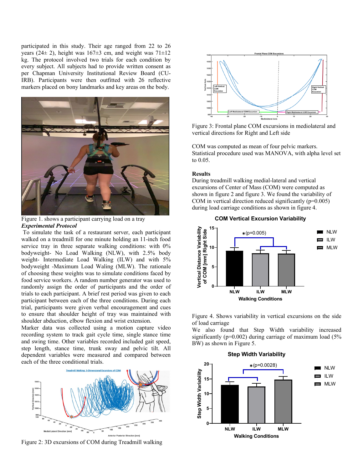participated in this study. Their age ranged from 22 to 26 years (24 $\pm$  2), height was 167 $\pm$ 3 cm, and weight was 71 $\pm$ 12 kg. The protocol involved two trials for each condition by every subject. All subjects had to provide written consent as per Chapman University Institutional Review Board (CU-IRB). Participants were then outfitted with 26 reflective markers placed on bony landmarks and key areas on the body.



Figure 1. shows a participant carrying load on a tray *Experimental Protocol*

To simulate the task of a restaurant server, each participant walked on a treadmill for one minute holding an 11-inch food service tray in three separate walking conditions: with 0% bodyweight- No Load Walking (NLW), with 2.5% body weight- Intermediate Load Walking (ILW) and with 5% bodyweight -Maximum Load Waling (MLW). The rationale of choosing these weights was to simulate conditions faced by food service workers. A random number generator was used to randomly assign the order of participants and the order of trials to each participant. A brief rest period was given to each participant between each of the three conditions. During each trial, participants were given verbal encouragement and cues to ensure that shoulder height of tray was maintained with shoulder abduction, elbow flexion and wrist extension.

Marker data was collected using a motion capture video recording system to track gait cycle time, single stance time and swing time. Other variables recorded included gait speed, step length, stance time, trunk sway and pelvic tilt. All dependent variables were measured and compared between each of the three conditional trials.



Figure 2: 3D excursions of COM during Treadmill walking



Figure 3: Frontal plane COM excursions in mediolateral and vertical directions for Right and Left side

COM was computed as mean of four pelvic markers. Statistical procedure used was MANOVA, with alpha level set to 0.05.

#### **Results**

During treadmill walking medial-lateral and vertical excursions of Center of Mass (COM) were computed as shown in figure 2 and figure 3. We found the variability of COM in vertical direction reduced significantly  $(p=0.005)$ during load carriage conditions as shown in figure 4.





Figure 4. Shows variability in vertical excursions on the side of load carriage

We also found that Step Width variability increased significantly ( $p=0.002$ ) during carriage of maximum load ( $5\%$ ) BW) as shown in Figure 5.

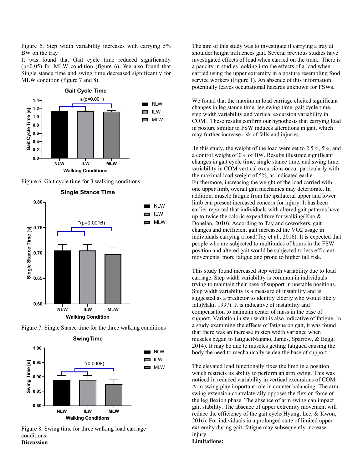Figure 5. Step width variability increases with carrying 5% BW on the tray

It was found that Gait cycle time reduced significantly  $(p<0.05)$  for MLW condition (figure 6). We also found that Single stance time and swing time decreased significantly for MLW condition (figure 7 and 8).







Figure 7. Single Stance time for the three walking conditions



Figure 8. Swing time for three walking load carriage conditions **Discussion**

The aim of this study was to investigate if carrying a tray at shoulder height influences gait. Several previous studies have investigated effects of load when carried on the trunk. There is a paucity in studies looking into the effects of a load when carried using the upper extremity in a posture resembling food service workers (Figure 1). An absence of this information potentially leaves occupational hazards unknown for FSWs.

We found that the maximum load carriage elicited significant changes in leg stance time, leg swing time, gait cycle time, step width variability and vertical excursion variability in COM. These results confirm our hypothesis that carrying load in posture similar to FSW induces alterations in gait, which may further increase risk of falls and injuries.

In this study, the weight of the load were set to 2.5%, 5%, and a control weight of 0% of BW. Results illustrate significant changes in gait cycle time, single stance time, and swing time, variability in COM vertical excursions occur particularly with the maximal load weight of 5%, as indicated earlier. Furthermore, increasing the weight of the load carried with one upper limb, overall gait mechanics may deteriorate. In addition, muscle fatigue from the ipsilateral upper and lower limb can present increased concern for injury. It has been earlier reported that individuals with altered gait patterns have up to twice the caloric expenditure for walking[\(Kuo &](#page-5-17)  [Donelan,](#page-5-17) 2010). According to Tay and coworkers, gait changes and inefficient gait increased the VO2 usage in individuals carrying a load[\(Tay et al., 2016\)](#page-5-18). It is expected that people who are subjected to multitudes of hours in the FSW position and altered gait would be subjected to less efficient movements, more fatigue and prone to higher fall risk.

This study found increased step width variability due to load carriage. Step width variability is common in individuals trying to maintain their base of support in unstable positions. Step width variability is a measure of instability and is suggested as a predictor to identify elderly who would likely fall[\(Maki, 1997\)](#page-5-19). It is indicative of instability and compensation to maintain center of mass in the base of support. Variation in step width is also indicative of fatigue. In a study examining the effects of fatigue on gait, it was found that there was an increase in step width variance when muscles began to fatigue[\(Nagano, James, Sparrow, & Begg,](#page-5-20)  [2014\)](#page-5-20). It may be due to muscles getting fatigued causing the body the need to mechanically widen the base of support.

The elevated load functionally fixes the limb in a position which restricts its ability to perform an arm swing. This was noticed in reduced variability in vertical excursions of COM. Arm swing play important role in counter balancing. The arm swing extension contralaterally opposes the flexion force of the leg flexion phase. The absence of arm swing can impact gait stability. The absence of upper extremity movement will reduce the efficiency of the gait cycle[\(Hyung, Lee, & Kwon,](#page-5-21) [2016\)](#page-5-21). For individuals in a prolonged state of limited upper extremity during gait, fatigue may subsequently increase injury.

### **Limitations:**